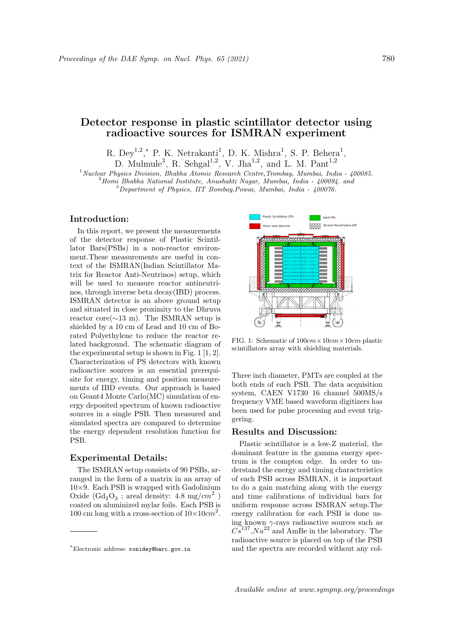# Detector response in plastic scintillator detector using radioactive sources for ISMRAN experiment

R. Dey<sup>1,2</sup>,\* P. K. Netrakanti<sup>1</sup>, D. K. Mishra<sup>1</sup>, S. P. Behera<sup>1</sup>, D. Mulmule<sup>3</sup>, R. Sehgal<sup>1,2</sup>, V. Jha<sup>1,2</sup>, and L. M. Pant<sup>1,2</sup>

 $1$ Nuclear Physics Division, Bhabha Atomic Research Centre, Trombay, Mumbai, India - 400085.  $^{2}$ Homi Bhabha National Institute, Anushakti Nagar, Mumbai, India - 400094. and

 $3$ Department of Physics, IIT Bombay, Powai, Mumbai, India - 400076.

## Introduction:

In this report, we present the measurements of the detector response of Plastic Scintillator Bars(PSBs) in a non-reactor environment.These measurements are useful in context of the ISMRAN(Indian Scintillator Matrix for Reactor Anti-Neutrinos) setup, which will be used to measure reactor antineutrinos, through inverse beta decay(IBD) process. ISMRAN detector is an above ground setup and situated in close proximity to the Dhruva reactor core( $\sim$ 13 m). The ISMRAN setup is shielded by a 10 cm of Lead and 10 cm of Borated Polyethylene to reduce the reactor related background. The schematic diagram of the experimental setup is shown in Fig. 1 [1, 2]. Characterization of PS detectors with known radioactive sources is an essential prerequisite for energy, timing and position measurements of IBD events. Our approach is based on Geant4 Monte Carlo(MC) simulation of energy deposited spectrum of known radioactive sources in a single PSB. Then measured and simulated spectra are compared to determine the energy dependent resolution function for PSB.

## Experimental Details:

The ISMRAN setup consists of 90 PSBs, arranged in the form of a matrix in an array of  $10\times9$ . Each PSB is wrapped with Gadolinium Oxide  $(\text{Gd}_2\text{O}_3$ ; areal density: 4.8 mg/ $cm^2$ ) coated on aluminized mylar foils. Each PSB is 100 cm long with a cross-section of  $10\times10$ cm<sup>2</sup>.



FIG. 1: Schematic of  $100cm \times 10cm \times 10cm$  plastic scintillators array with shielding materials.

Three inch diameter, PMTs are coupled at the both ends of each PSB. The data acquisition system, CAEN V1730 16 channel 500MS/s frequency VME based waveform digitizers has been used for pulse processing and event triggering.

### Results and Discussion:

Plastic scintillator is a low-Z material, the dominant feature in the gamma energy spectrum is the compton edge. In order to understand the energy and timing characteristics of each PSB across ISMRAN, it is important to do a gain matching along with the energy and time calibrations of individual bars for uniform response across ISMRAN setup.The energy calibration for each PSB is done using known  $\gamma$ -rays radioactive sources such as  $C_s^{-137}$ ,  $Na^{22}$  and AmBe in the laboratory. The radioactive source is placed on top of the PSB and the spectra are recorded without any col-

<sup>∗</sup>Electronic address: ronidey@barc.gov.in